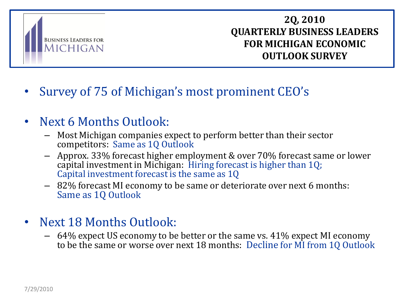

## **2Q, 2010 QUARTERLY BUSINESS LEADERS FOR MICHIGAN ECONOMIC OUTLOOK SURVEY**

# • Survey of 75 of Michigan's most prominent CEO's

## • Next 6 Months Outlook:

- Most Michigan companies expect to perform better than their sector competitors: Same as 1Q Outlook
- Approx. 33% forecast higher employment & over 70% forecast same or lower capital investment in Michigan: Hiring forecast is higher than 1Q; Capital investment forecast is the same as 1Q
- 82% forecast MI economy to be same or deteriorate over next 6 months: Same as 1Q Outlook
- Next 18 Months Outlook:
	- 64% expect US economy to be better or the same vs. 41% expect MI economy to be the same or worse over next 18 months: Decline for MI from 1Q Outlook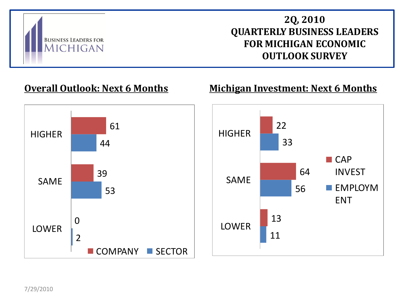

## **2Q, 2010 QUARTERLY BUSINESS LEADERS FOR MICHIGAN ECONOMIC OUTLOOK SURVEY**

## **Overall Outlook: Next 6 Months**

#### **Michigan Investment: Next 6 Months**